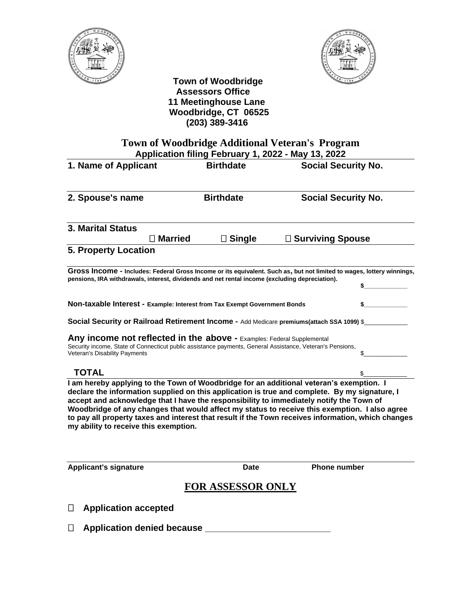



 **Town of Woodbridge Assessors Office 11 Meetinghouse Lane Woodbridge, CT 06525 (203) 389-3416** 

## **Town of Woodbridge Additional Veteran's Program Application filing February 1, 2022 - May 13, 2022**

| 1. Name of Applicant                                                                           | <b>Birthdate</b>                | <b>Social Security No.</b>                                                                                                                                                                            |                            |  |
|------------------------------------------------------------------------------------------------|---------------------------------|-------------------------------------------------------------------------------------------------------------------------------------------------------------------------------------------------------|----------------------------|--|
| 2. Spouse's name                                                                               | <b>Birthdate</b>                |                                                                                                                                                                                                       | <b>Social Security No.</b> |  |
| <b>3. Marital Status</b>                                                                       |                                 |                                                                                                                                                                                                       |                            |  |
|                                                                                                | <b>Single</b><br><b>Married</b> | <b>Surviving Spouse</b><br>Ш                                                                                                                                                                          |                            |  |
| <b>5. Property Location</b>                                                                    |                                 |                                                                                                                                                                                                       |                            |  |
|                                                                                                |                                 |                                                                                                                                                                                                       |                            |  |
|                                                                                                |                                 | Gross Income - Includes: Federal Gross Income or its equivalent. Such as, but not limited to wages, lottery winnings,                                                                                 |                            |  |
| pensions, IRA withdrawals, interest, dividends and net rental income (excluding depreciation). |                                 |                                                                                                                                                                                                       |                            |  |
| Non-taxable Interest - Example: Interest from Tax Exempt Government Bonds                      |                                 |                                                                                                                                                                                                       |                            |  |
|                                                                                                |                                 | Social Security or Railroad Retirement Income - Add Medicare premiums(attach SSA 1099) \$                                                                                                             |                            |  |
| Any income not reflected in the above - Examples: Federal Supplemental                         |                                 |                                                                                                                                                                                                       |                            |  |
| Veteran's Disability Payments                                                                  |                                 | Security income, State of Connecticut public assistance payments, General Assistance, Veteran's Pensions,                                                                                             |                            |  |
| <b>TOTAL</b>                                                                                   |                                 |                                                                                                                                                                                                       |                            |  |
|                                                                                                |                                 | I am hereby applying to the Town of Woodbridge for an additional veteran's exemption. I<br>بسطو يسترداه والملاحظ والمسرور المسروبا والموارد والمسور والمارود المطالسين وسيرد وسائح المسترقات والمسواف |                            |  |

**declare the information supplied on this application is true and complete. By my signature, I accept and acknowledge that I have the responsibility to immediately notify the Town of Woodbridge of any changes that would affect my status to receive this exemption. I also agree to pay all property taxes and interest that result if the Town receives information, which changes my ability to receive this exemption.**

**Applicant's signature Date Phone number FOR ASSESSOR ONLY Application accepted Application denied because \_\_\_\_\_\_\_\_\_\_\_\_\_\_\_\_\_\_\_\_\_\_\_\_\_**